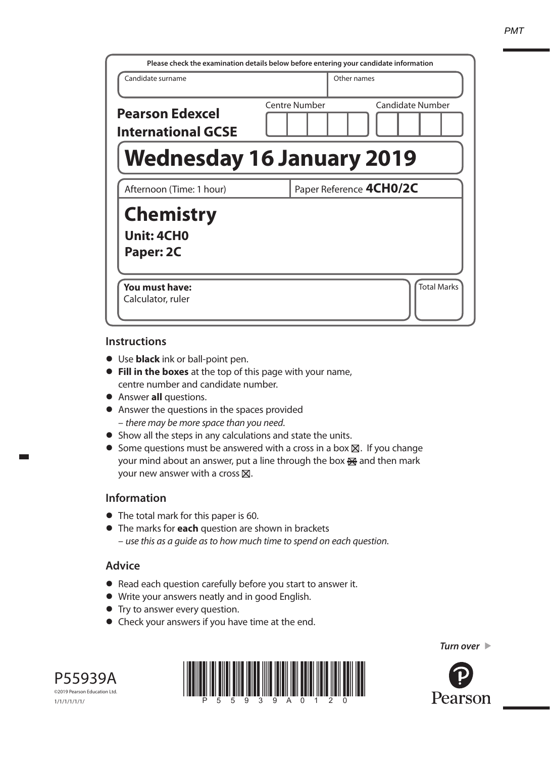| Please check the examination details below before entering your candidate information |               |                         |
|---------------------------------------------------------------------------------------|---------------|-------------------------|
| Candidate surname                                                                     |               | Other names             |
| <b>Pearson Edexcel</b><br><b>International GCSE</b>                                   | Centre Number | <b>Candidate Number</b> |
| <b>Wednesday 16 January 2019</b>                                                      |               |                         |
| Afternoon (Time: 1 hour)                                                              |               | Paper Reference 4CH0/2C |
| <b>Chemistry</b><br><b>Unit: 4CH0</b><br>Paper: 2C                                    |               |                         |
| You must have:<br>Calculator, ruler                                                   |               | <b>Total Marks</b>      |

#### **Instructions**

- **•** Use **black** ink or ball-point pen.
- **• Fill in the boxes** at the top of this page with your name, centre number and candidate number.
- **•** Answer **all** questions.
- **•** Answer the questions in the spaces provided – *there may be more space than you need*.
- **•** Show all the steps in any calculations and state the units.
- Some questions must be answered with a cross in a box  $\boxtimes$ . If you change your mind about an answer, put a line through the box  $\mathbb{R}$  and then mark your new answer with a cross  $\times$ .

### **Information**

- **•** The total mark for this paper is 60.
- **•** The marks for **each** question are shown in brackets – *use this as a guide as to how much time to spend on each question*.

# **Advice**

- **•** Read each question carefully before you start to answer it.
- **•** Write your answers neatly and in good English.
- **•** Try to answer every question.
- **•** Check your answers if you have time at the end.





*Turn over* 

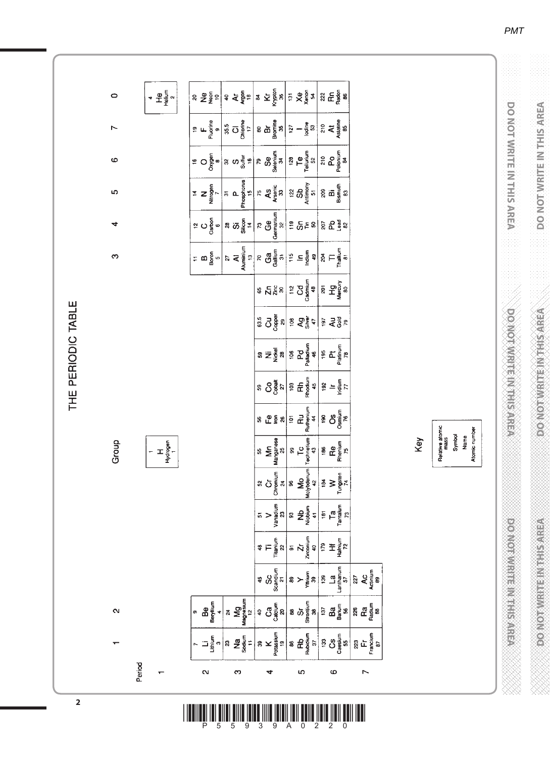| $\circ$               | $\begin{array}{c}\n\Phi_{\underline{3}}\end{array}$<br>Ħ, | 8220                                                                                                                                                                                                                                                                                                                                                                                                                                                                                                                                                         | $\begin{array}{c} \mathbf{4} \times \mathbf{5} \\ \mathbf{4} \times \mathbf{5} \\ \mathbf{5} \times \mathbf{6} \end{array}$ | $rac{Kr}{36}$<br>$\boldsymbol{\mathsf{z}}$                                                                                                                                                                                                                                                                                                                                                                                                                                                  | $X_{\text{an}}$<br>$\overline{\mathbb{S}}$                                                                                                                                                                                                                                                                                                                                                                                                                    | $\mathbb{R}$ $\mathbb{E}^{\frac{5}{6}}_{\mathbb{R}}$ $^{\circ}$                                                    |                             |     |                                                            |
|-----------------------|-----------------------------------------------------------|--------------------------------------------------------------------------------------------------------------------------------------------------------------------------------------------------------------------------------------------------------------------------------------------------------------------------------------------------------------------------------------------------------------------------------------------------------------------------------------------------------------------------------------------------------------|-----------------------------------------------------------------------------------------------------------------------------|---------------------------------------------------------------------------------------------------------------------------------------------------------------------------------------------------------------------------------------------------------------------------------------------------------------------------------------------------------------------------------------------------------------------------------------------------------------------------------------------|---------------------------------------------------------------------------------------------------------------------------------------------------------------------------------------------------------------------------------------------------------------------------------------------------------------------------------------------------------------------------------------------------------------------------------------------------------------|--------------------------------------------------------------------------------------------------------------------|-----------------------------|-----|------------------------------------------------------------|
| $\blacktriangleright$ |                                                           | $\begin{array}{c} \boxed{9} \\ \boxed{10} \\ \boxed{10} \\ \boxed{100} \\ \boxed{100} \end{array}$                                                                                                                                                                                                                                                                                                                                                                                                                                                           | 35.5<br>$\frac{1}{\text{Cheine}}$                                                                                           |                                                                                                                                                                                                                                                                                                                                                                                                                                                                                             | $\frac{\mathfrak{S}}{2} = \frac{\mathfrak{g}}{2} \mathfrak{V}$                                                                                                                                                                                                                                                                                                                                                                                                | $\frac{\lambda_1}{\lambda_{\text{Saline}}}$<br>210                                                                 |                             |     |                                                            |
| Õ                     |                                                           | $\overset{\circ}{\phantom{a}}\circ\overset{\circ}{\phantom{a}}\circ$                                                                                                                                                                                                                                                                                                                                                                                                                                                                                         | ុង <b>ល</b> ទ្ធិ ឆ                                                                                                          | $-\frac{9}{360}$<br>R                                                                                                                                                                                                                                                                                                                                                                                                                                                                       | $\begin{array}{c}\n\mathsf{Te} \\ \mathsf{Fellurium} \\ 52\n\end{array}$<br>128                                                                                                                                                                                                                                                                                                                                                                               | $P_{\text{obnim}}$<br>Polonium<br>Bas                                                                              |                             |     |                                                            |
| S                     |                                                           | $\frac{1}{2}$ $\frac{1}{2}$ $\frac{1}{2}$ $\frac{1}{2}$ $\frac{1}{2}$                                                                                                                                                                                                                                                                                                                                                                                                                                                                                        | Phosphorus<br>$\overline{\Theta}$<br>$\alpha$                                                                               | $\frac{75}{45}$<br>Assenic                                                                                                                                                                                                                                                                                                                                                                                                                                                                  | $\frac{1}{2}$<br>$\frac{1}{2}$<br>$\frac{1}{2}$<br>$\frac{1}{2}$<br>$\frac{1}{2}$<br>$\frac{1}{2}$<br>$\frac{1}{2}$<br>$\frac{1}{2}$<br>$\frac{1}{2}$<br>$\frac{1}{2}$<br>$\frac{1}{2}$<br>$\frac{1}{2}$<br>$\frac{1}{2}$<br>$\frac{1}{2}$<br>$\frac{1}{2}$<br>$\frac{1}{2}$<br>$\frac{1}{2}$<br>$\frac{1}{2}$<br>$\frac{1}{2}$                                                                                                                               | ಜ<br><b>ದಿ</b> ಹಾಲ್<br>ಕಾಣದ                                                                                        |                             |     |                                                            |
| 4                     |                                                           | ၊ ဗ ဂန္နီ <sub>ဗ</sub>                                                                                                                                                                                                                                                                                                                                                                                                                                                                                                                                       | ឌ ភរ្មិ៍<br>និ                                                                                                              | $rac{1}{\sqrt{1+\frac{1}{2}}}\left \frac{1}{2}\right $<br>R.                                                                                                                                                                                                                                                                                                                                                                                                                                | $\frac{1}{2}$ $\frac{1}{2}$ $\frac{1}{2}$ $\frac{1}{2}$ $\frac{1}{2}$                                                                                                                                                                                                                                                                                                                                                                                         | $\begin{array}{c}\n\circ \\ \circ \\ \circ \\ \circ \\ \circ\n\end{array}$                                         |                             |     |                                                            |
| $\infty$              |                                                           | $\mathop{\vphantom{\rule{0pt}{5.5pt}}\scriptscriptstyle \pm}^{\mathop{\stackrel{\phantom{\rule{0pt}{5.5pt}}\scriptscriptstyle \pm\,}}{\mathop{\stackrel{\phantom{\rule{0pt}{5.5pt}}\scriptscriptstyle \pm\,}}{\mathop{\stackrel{\phantom{\rule{0pt}{5.5pt}}\scriptscriptstyle \pm\,}}{\mathop{\stackrel{\phantom{\rule{0pt}{5.5pt}}\scriptscriptstyle \pm\,}}{\mathop{\stackrel{\phantom{\rule{0pt}{5.5pt}}\scriptscriptstyle \pm\,}}{\mathop{\stackrel{\phantom{\rule{0pt}{5.5pt}}\scriptscriptstyle \pm\,}}{\mathop{\stackrel{\phantom{\rule{0pt}{5.5pt}}$ | All $\frac{M}{13}$<br>27                                                                                                    | $G$ allium<br>Gallium<br>31<br>$\gtrsim$                                                                                                                                                                                                                                                                                                                                                                                                                                                    | $E_{\frac{5}{2}}^{\epsilon}$<br>$\frac{15}{11}$                                                                                                                                                                                                                                                                                                                                                                                                               | $rac{204}{\text{Total time}}$                                                                                      |                             |     |                                                            |
|                       |                                                           |                                                                                                                                                                                                                                                                                                                                                                                                                                                                                                                                                              |                                                                                                                             | <mark>ន ភ</mark> ្នួន                                                                                                                                                                                                                                                                                                                                                                                                                                                                       | $\begin{array}{c} 112 \\ C \text{admin} \\ 48 \end{array}$                                                                                                                                                                                                                                                                                                                                                                                                    | $H_{\text{sech}}^{\mathbf{Q}}$<br>$\bar{\mathbb{R}}$                                                               |                             |     |                                                            |
|                       |                                                           |                                                                                                                                                                                                                                                                                                                                                                                                                                                                                                                                                              |                                                                                                                             | $\frac{3}{5}$ 3 $\frac{5}{5}$ 81<br>63.5                                                                                                                                                                                                                                                                                                                                                                                                                                                    | $rac{8}{5}$ $rac{25}{5}$ $rac{1}{7}$                                                                                                                                                                                                                                                                                                                                                                                                                          | 2288                                                                                                               |                             |     |                                                            |
|                       |                                                           |                                                                                                                                                                                                                                                                                                                                                                                                                                                                                                                                                              |                                                                                                                             | $\begin{array}{c} \mathbb{S} \\ \mathbb{S} \to \mathbb{\bar{S}} \\ \mathbb{\bar{S}} \end{array} \begin{array}{c} \mathbb{S} \\ \mathbb{S} \end{array}$                                                                                                                                                                                                                                                                                                                                      | Pd<br>Palladium<br>46<br>106                                                                                                                                                                                                                                                                                                                                                                                                                                  | $\begin{bmatrix} 95 \\ 195 \\ \hline 1 \\ \hline 6 \\ \hline 7 \\ 8 \\ \end{bmatrix}$                              |                             |     |                                                            |
|                       |                                                           |                                                                                                                                                                                                                                                                                                                                                                                                                                                                                                                                                              |                                                                                                                             | $\frac{\text{Cost}}{\text{cosat}}$<br>3                                                                                                                                                                                                                                                                                                                                                                                                                                                     | 103<br>Rhodium<br>45<br>45                                                                                                                                                                                                                                                                                                                                                                                                                                    | 192 $\frac{1}{2}$ in $\frac{1}{2}$                                                                                 |                             |     |                                                            |
|                       |                                                           |                                                                                                                                                                                                                                                                                                                                                                                                                                                                                                                                                              |                                                                                                                             | $E_{\text{B}}^{\text{eff}}$<br>\$                                                                                                                                                                                                                                                                                                                                                                                                                                                           | Ru<br>Ruthenium<br>44<br>$\overline{\mathsf{P}}$                                                                                                                                                                                                                                                                                                                                                                                                              | $^{90}_{0}$<br>$^{90}_{0}$<br>$^{190}_{0}$                                                                         |                             |     |                                                            |
| Group                 | $H_{\text{hydrogen}}$<br>$\overline{\phantom{0}}$         |                                                                                                                                                                                                                                                                                                                                                                                                                                                                                                                                                              |                                                                                                                             | $\begin{array}{c}\n\lambda^3 \\ Mn \\ \hline\nMn\text{mass} \\ 25\n\end{array}$                                                                                                                                                                                                                                                                                                                                                                                                             | $\begin{array}{c c}\n & 99 \\  & \uparrow \text{c} \\  \hline\n \text{Te} \\  & 43\n \end{array}$                                                                                                                                                                                                                                                                                                                                                             | 196<br>Re<br><sup>75</sup>                                                                                         |                             | Key | Relative atomic<br>mass<br>Atomic number<br>Symbol<br>Name |
|                       |                                                           |                                                                                                                                                                                                                                                                                                                                                                                                                                                                                                                                                              |                                                                                                                             | $\frac{1}{\sqrt{\frac{3}{2}}\cdot\frac{1}{2}}$                                                                                                                                                                                                                                                                                                                                                                                                                                              | $\begin{bmatrix} \text{Mo} \\ \text{Molybdenum} \end{bmatrix}$                                                                                                                                                                                                                                                                                                                                                                                                | 184<br>W<br>Tungsten<br>74                                                                                         |                             |     |                                                            |
|                       |                                                           |                                                                                                                                                                                                                                                                                                                                                                                                                                                                                                                                                              |                                                                                                                             | $\frac{51}{\text{V}\text{andium}}$                                                                                                                                                                                                                                                                                                                                                                                                                                                          | Nb<br>Nightm<br>$\boldsymbol{\mathbb{S}}$                                                                                                                                                                                                                                                                                                                                                                                                                     | $\begin{array}{c}\n\hline\n\text{Tational} \\ \text{Tational} \\ \hline\n\end{array}$<br>$\frac{1}{\overline{16}}$ |                             |     |                                                            |
|                       |                                                           |                                                                                                                                                                                                                                                                                                                                                                                                                                                                                                                                                              |                                                                                                                             | $\begin{array}{c}\n\text{#} \quad \text{#} \quad \text{#} \quad \text{#} \quad \text{#} \quad \text{#} \quad \text{#} \quad \text{#} \quad \text{#} \quad \text{#} \quad \text{#} \quad \text{#} \quad \text{#} \quad \text{#} \quad \text{#} \quad \text{#} \quad \text{#} \quad \text{#} \quad \text{#} \quad \text{#} \quad \text{#} \quad \text{#} \quad \text{#} \quad \text{#} \quad \text{#} \quad \text{#} \quad \text{#} \quad \text{#} \quad \text{#} \quad \text{#} \quad \text$ | $\frac{Zr}{z_{irconium}}$<br>$\overleftarrow{\mathtt{o}}$                                                                                                                                                                                                                                                                                                                                                                                                     | $\frac{H}{H}$<br>179                                                                                               |                             |     |                                                            |
|                       |                                                           |                                                                                                                                                                                                                                                                                                                                                                                                                                                                                                                                                              |                                                                                                                             | $\frac{SC}{21}$<br>45                                                                                                                                                                                                                                                                                                                                                                                                                                                                       | $\begin{array}{c} \left  \begin{array}{c} \mathbf{g} \\ \mathbf{g} \end{array} \right\rangle \leftarrow \begin{array}{c} \mathbf{g} \\ \mathbf{g} \\ \mathbf{g} \end{array} \right  \end{array}$                                                                                                                                                                                                                                                              | $\begin{array}{c} 2 \\ \hline 1a \\ -57 \end{array}$<br>$139$                                                      | AC<br>Activium<br>89<br>227 |     |                                                            |
| $\sim$                |                                                           | Be<br>Beryllium<br>$\bullet$                                                                                                                                                                                                                                                                                                                                                                                                                                                                                                                                 | $M_{\rm 9}$ Mg<br>Magnesium<br>$\tilde{\mathbf{x}}$                                                                         | $rac{Ca}{20}$<br>$\frac{1}{4}$                                                                                                                                                                                                                                                                                                                                                                                                                                                              | ន<br>ទីរ <sub>កចាប់ហា</sub><br>ទីរកតាមកា                                                                                                                                                                                                                                                                                                                                                                                                                      | Ba<br>Banum<br>S6<br>$^{137}$                                                                                      | Ra<br>Radium<br>88<br>226   |     |                                                            |
|                       |                                                           | $\begin{bmatrix} 1 & 1 \\ 1 & 1 \\ 1 & 1 \\ 1 & 1 \end{bmatrix}$                                                                                                                                                                                                                                                                                                                                                                                                                                                                                             | $\sum_{\substack{\text{Sogium}\\ \text{S}}}$<br> ສ                                                                          | $\begin{array}{c}\n 39 \\  \times \\  \hline\n \end{array}$ Potassium                                                                                                                                                                                                                                                                                                                                                                                                                       | $\begin{array}{c c}\n & \text{se} \\  & \text{se} \\  & \text{Hilb} \\  & \text{Hilb} \\  & \text{Hilb} \\  & \text{Hilb} \\  & \text{Hilb} \\  & \text{Hilb} \\  & \text{Hilb} \\  & \text{Hilb} \\  & \text{Hilb} \\  & \text{Hilb} \\  & \text{Hilb} \\  & \text{Hilb} \\  & \text{Hilb} \\  & \text{Hilb} \\  & \text{Hilb} \\  & \text{Hilb} \\  & \text{Hilb} \\  & \text{Hilb} \\  & \text{Hilb} \\  & \text{Hilb} \\  & \text{Hilb} \\  & \text{Hilb$ | $\frac{133}{\text{C}}$                                                                                             | 223<br>Francium<br>87       |     |                                                            |
|                       | Period<br>$\overline{\phantom{0}}$                        | $\mathbf{\alpha}$                                                                                                                                                                                                                                                                                                                                                                                                                                                                                                                                            | ო                                                                                                                           | 4                                                                                                                                                                                                                                                                                                                                                                                                                                                                                           | S                                                                                                                                                                                                                                                                                                                                                                                                                                                             | $\circ$                                                                                                            | $\overline{ }$              |     |                                                            |

 $\begin{array}{c} \hline \rule{0pt}{2ex} \rule[-12pt]{0pt}{2ex} \rule[-12pt]{0pt}{2ex} \rule[-12pt]{0pt}{2ex} \rule[-12pt]{0pt}{2ex} \rule[-12pt]{0pt}{2ex} \rule[-12pt]{0pt}{2ex} \rule[-12pt]{0pt}{2ex} \rule[-12pt]{0pt}{2ex} \rule[-12pt]{0pt}{2ex} \rule[-12pt]{0pt}{2ex} \rule[-12pt]{0pt}{2ex} \rule[-12pt]{0pt}{2ex} \rule[-12pt]{0pt}{2ex} \rule[-12pt]{0pt}{2ex} \rule[-12pt]{0pt}{2ex} \rule[-12pt$ 

**2**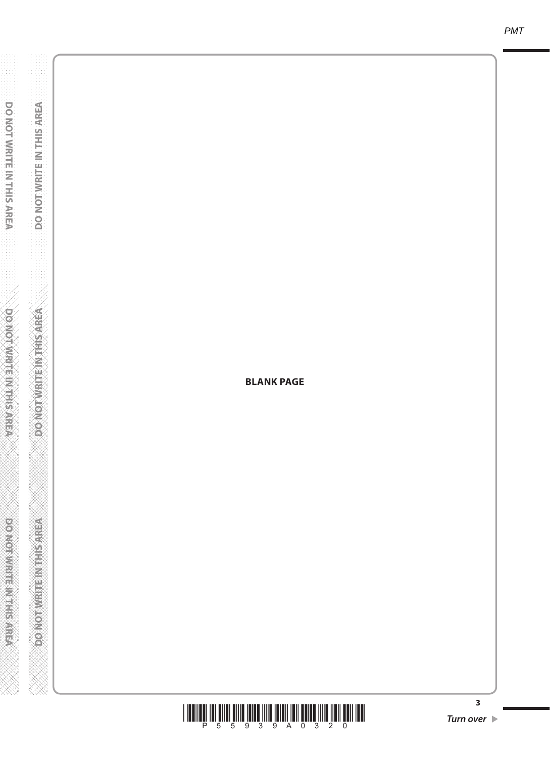**DO NOT WRITE IN THIS AREA** 

**BLANK PAGE**

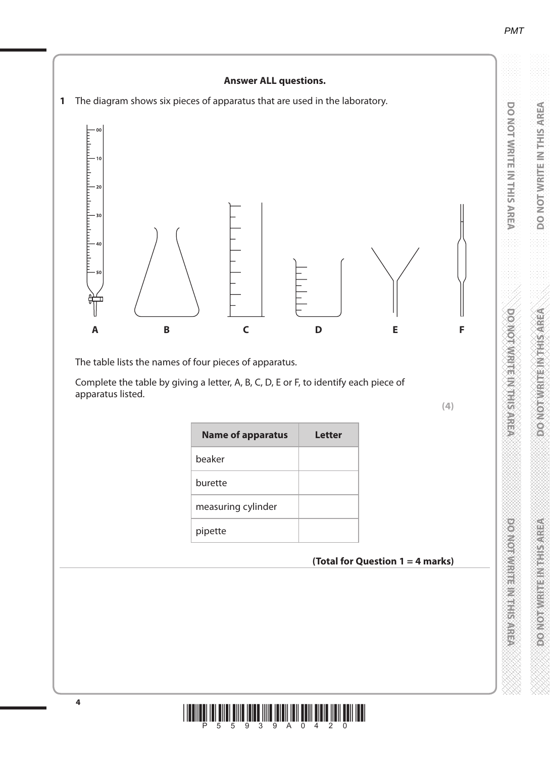

The table lists the names of four pieces of apparatus.

Complete the table by giving a letter, A, B, C, D, E or F, to identify each piece of apparatus listed.

| ۰. |  |
|----|--|
|    |  |

| <b>Name of apparatus</b> | Letter |
|--------------------------|--------|
| heaker                   |        |
| burette                  |        |
| measuring cylinder       |        |
| pipette                  |        |

#### **(Total for Question 1 = 4 marks)**



**DO NOT WRITE IN THE INTERNATION** 

DO NOT WRITE IN THIS AREA

**DO NOT WRITE IN THE INTERNATIONAL CONTRACTOR** 

**DOMOTWRITEIN HISAREA** 

**DO NOT WRITE IN THIS AREA**

**DO NOTIVIES IN THE SAFE**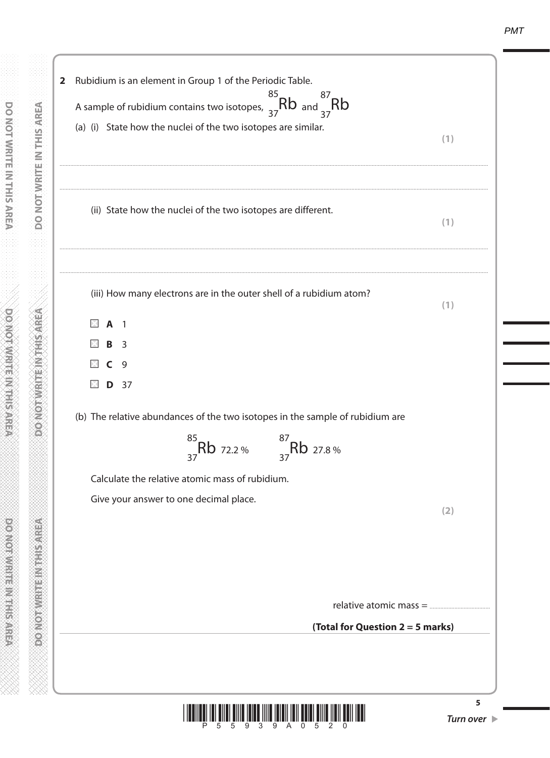|                  | A sample of rubidium contains two isotopes, $\frac{85}{37}$ Rb and $\frac{87}{37}$ Rb<br>(a) (i) State how the nuclei of the two isotopes are similar. |                                                                               |     |
|------------------|--------------------------------------------------------------------------------------------------------------------------------------------------------|-------------------------------------------------------------------------------|-----|
|                  |                                                                                                                                                        |                                                                               | (1) |
|                  | (ii) State how the nuclei of the two isotopes are different.                                                                                           |                                                                               | (1) |
|                  | (iii) How many electrons are in the outer shell of a rubidium atom?                                                                                    |                                                                               | (1) |
| $\boxtimes$ A 1  |                                                                                                                                                        |                                                                               |     |
| ⊠ <b>B</b> 3     |                                                                                                                                                        |                                                                               |     |
| <b>⊠ C</b> 9     |                                                                                                                                                        |                                                                               |     |
| X<br><b>D</b> 37 |                                                                                                                                                        |                                                                               |     |
|                  |                                                                                                                                                        | (b) The relative abundances of the two isotopes in the sample of rubidium are |     |
|                  | 85<br>$Rb$ 72.2%<br>37                                                                                                                                 | 87<br>Rb 27.8%<br>37                                                          |     |
|                  | Calculate the relative atomic mass of rubidium.                                                                                                        |                                                                               |     |
|                  | Give your answer to one decimal place.                                                                                                                 |                                                                               |     |
|                  |                                                                                                                                                        |                                                                               | (2) |
|                  |                                                                                                                                                        |                                                                               |     |
|                  |                                                                                                                                                        |                                                                               |     |
|                  |                                                                                                                                                        | (Total for Question 2 = 5 marks)                                              |     |

**DO NOT WRITE IN THIS AREA DO NOT WRITE IN THIS AREA DO NOT WRITE IN THIS AREA**

**PONOTWERFINTERS AREA** 

**DONOTWRITE IN THIS AREA** 

DO NOT WRITE IN THIS AREA



**5**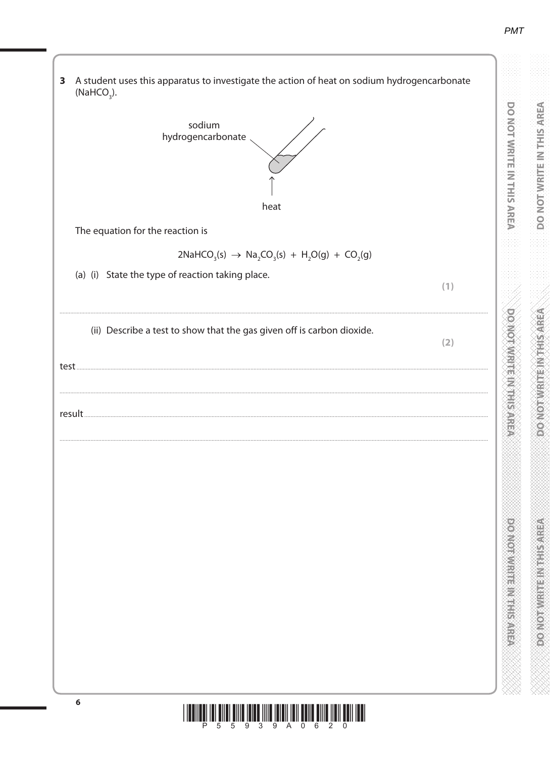| A student uses this apparatus to investigate the action of heat on sodium hydrogencarbonate<br>3<br>( $NAHCO3$ ). |  |  |  |  |  |
|-------------------------------------------------------------------------------------------------------------------|--|--|--|--|--|
| sodium<br>hydrogencarbonate<br>heat                                                                               |  |  |  |  |  |
| The equation for the reaction is                                                                                  |  |  |  |  |  |
| $2NaHCO3(s) \rightarrow Na2CO3(s) + H2O(g) + CO2(g)$                                                              |  |  |  |  |  |
| (a) (i) State the type of reaction taking place.<br>(1)                                                           |  |  |  |  |  |
| (ii) Describe a test to show that the gas given off is carbon dioxide.<br>(2)                                     |  |  |  |  |  |
| result                                                                                                            |  |  |  |  |  |
| 6<br>9<br>9<br>3<br>$\Omega$<br>6.                                                                                |  |  |  |  |  |

DO NOT WRITE IN THIS AREA **DOMOTOMREMOTHISAREA** 

**DOMOTIVE IN EXPERIENCE** 

XXXXX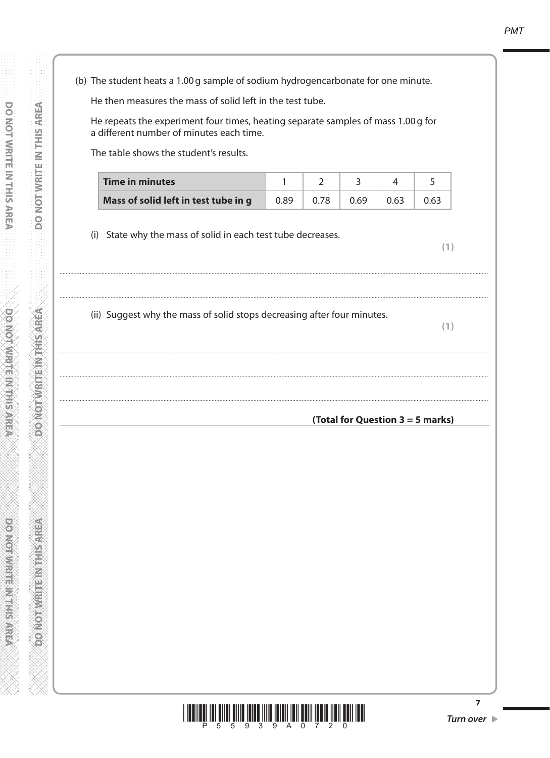(b) The student heats a 1.00 g sample of sodium hydrogencarbonate for one minute.

He then measures the mass of solid left in the test tube.

He repeats the experiment four times, heating separate samples of mass 1.00 g for a different number of minutes each time.

The table shows the student's results.

| Time in minutes                      |      |      |      |      |      |
|--------------------------------------|------|------|------|------|------|
| Mass of solid left in test tube in g | 0.89 | 0.78 | 0.69 | 0.63 | 0.63 |

(i) State why the mass of solid in each test tube decreases.

 $(1)$ 

(ii) Suggest why the mass of solid stops decreasing after four minutes.

 $(1)$ 

### (Total for Question  $3 = 5$  marks)



 $\overline{z}$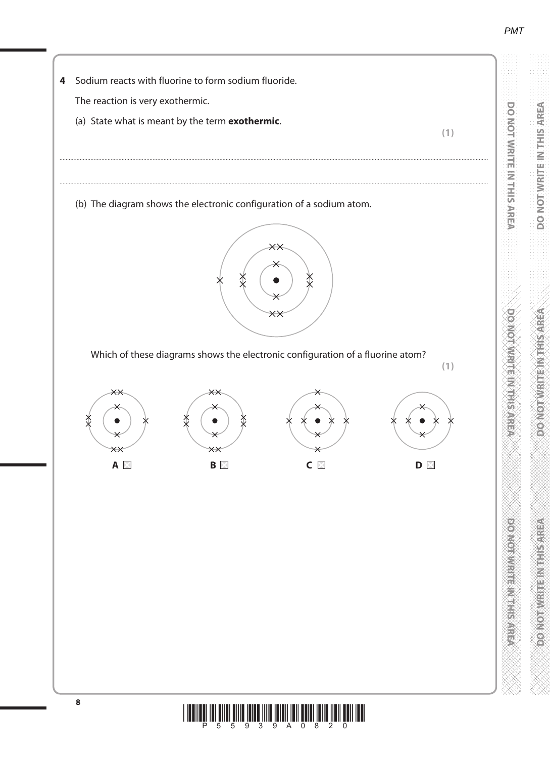

![](_page_7_Picture_1.jpeg)

**8**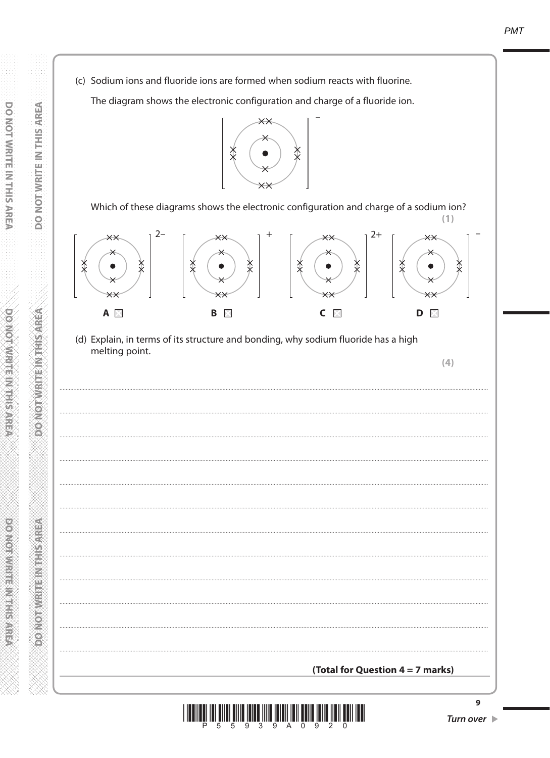(c) Sodium ions and fluoride ions are formed when sodium reacts with fluorine. The diagram shows the electronic configuration and charge of a fluoride ion.  $\times\times$  $\breve{\mathbf{x}}$ ҉ Which of these diagrams shows the electronic configuration and charge of a sodium ion?  $(1)$  $2 2+$  $\ddot{}$  $\times\times$  $\times\times$  $\times\times$  $\searrow$  $\breve{\times}$  $\times$  $\breve{\times}$  $\breve{\times}$ ҉  $\mathord{\times}$   $\mathord{\sim}$  $C \nightharpoonup$  $A \n\boxtimes$  $B \nightharpoonup$ D **X** (d) Explain, in terms of its structure and bonding, why sodium fluoride has a high melting point.  $(4)$ 

**DO NOT WRITE IN THIS AREA** 

**DO NOT WRITE IN THIS AREA** 

**MONOTOR REFERENCE** 

# (Total for Question 4 = 7 marks)

![](_page_8_Picture_3.jpeg)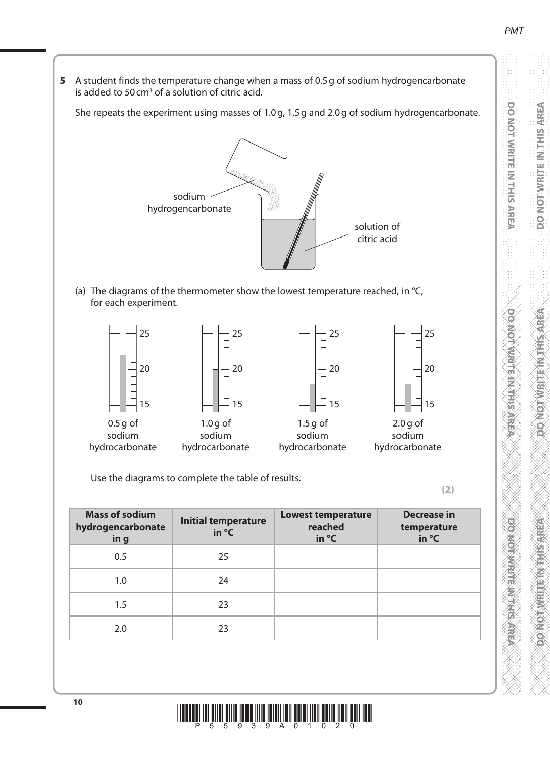**DO NOT WRITE IN THIS AREA**

**Control of the Control of Science** 

**5** A student finds the temperature change when a mass of 0.5g of sodium hydrogencarbonate is added to 50 cm<sup>3</sup> of a solution of citric acid.

She repeats the experiment using masses of 1.0g, 1.5g and 2.0g of sodium hydrogencarbonate.

![](_page_9_Picture_4.jpeg)

(a) The diagrams of the thermometer show the lowest temperature reached, in  $°C$ , for each experiment.

![](_page_9_Figure_6.jpeg)

Use the diagrams to complete the table of results.

**(2)**

| <b>Mass of sodium</b><br>hydrogencarbonate<br>in g | <b>Initial temperature</b><br>in $\mathrm{C}$ | <b>Lowest temperature</b><br>reached<br>in $\mathrm{C}$ | Decrease in<br>temperature<br>in $\mathrm{C}$ |
|----------------------------------------------------|-----------------------------------------------|---------------------------------------------------------|-----------------------------------------------|
| 0.5                                                | 25                                            |                                                         |                                               |
| 1.0                                                | 24                                            |                                                         |                                               |
| 1.5                                                | 23                                            |                                                         |                                               |
| 2.0                                                | 23                                            |                                                         |                                               |

![](_page_9_Picture_10.jpeg)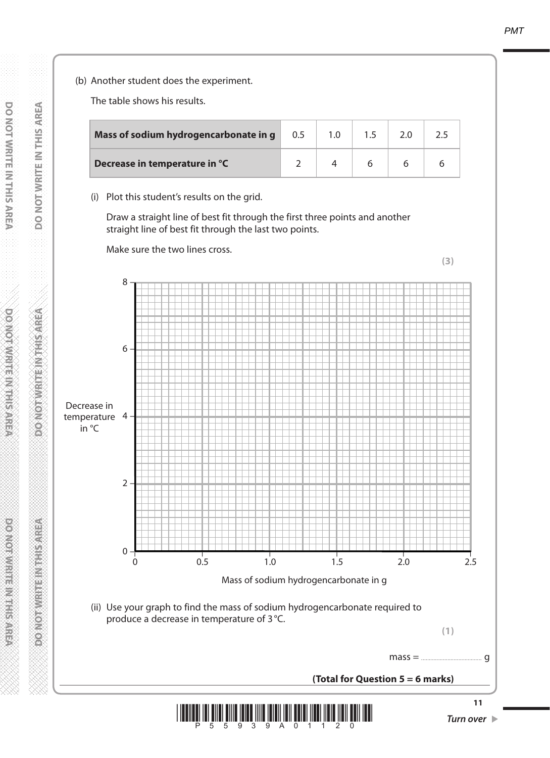**(3)**

(b) Another student does the experiment.

The table shows his results.

| Mass of sodium hydrogencarbonate in g | 0.5 | 1.0 |  |  |
|---------------------------------------|-----|-----|--|--|
| Decrease in temperature in °C         |     |     |  |  |

#### (i) Plot this student's results on the grid.

 Draw a straight line of best fit through the first three points and another straight line of best fit through the last two points.

Make sure the two lines cross.

**DO NOT WRITE IN THIS AREA DO NOT WRITE IN THIS AREA DO NOT WRITE IN THIS AREA**

**DONOT WRITEIN THIS AREA** 

**MONOTHER IN EINERGROUP** 

**DO NOT WRITE IN THIS AREA** 

![](_page_10_Figure_7.jpeg)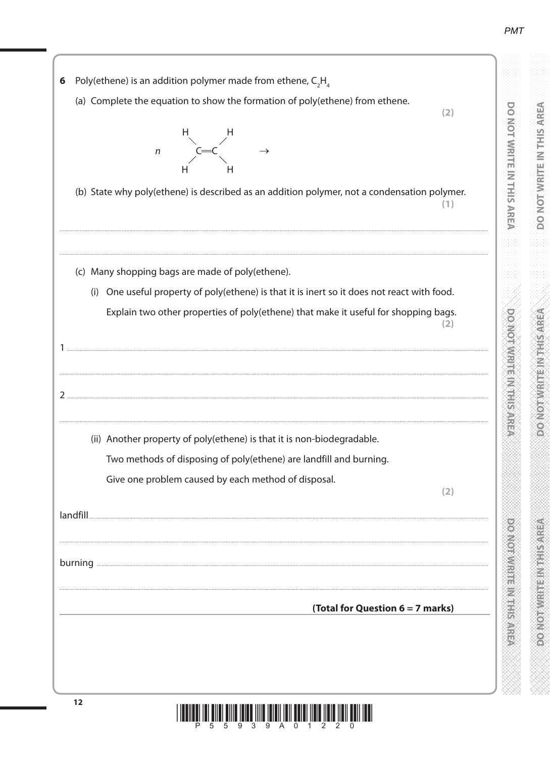$12$ 

**DO NOT WRITE IN THIS AREA** 

**DOMOLAWREIGNER** 

**CONCRETE IN THE REAL PROPERTY**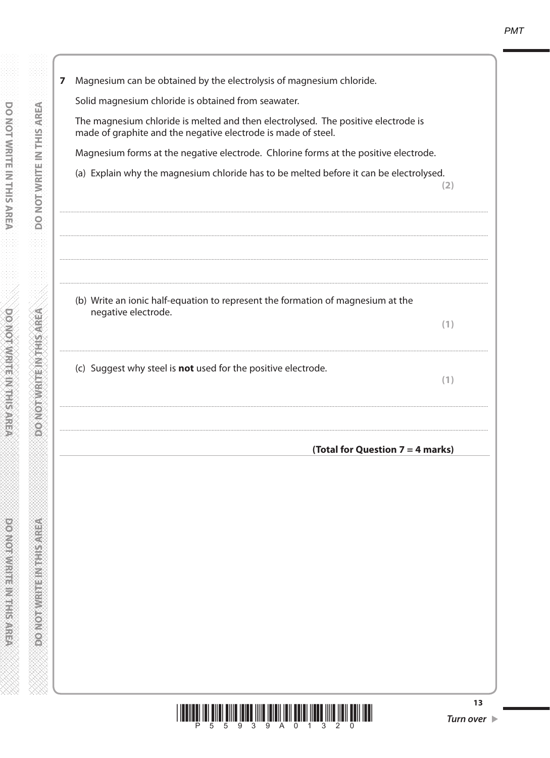| Magnesium can be obtained by the electrolysis of magnesium chloride.<br>Solid magnesium chloride is obtained from seawater.<br>The magnesium chloride is melted and then electrolysed. The positive electrode is<br>made of graphite and the negative electrode is made of steel.<br>Magnesium forms at the negative electrode. Chlorine forms at the positive electrode.<br>(a) Explain why the magnesium chloride has to be melted before it can be electrolysed.<br>(2)<br>(b) Write an ionic half-equation to represent the formation of magnesium at the<br>negative electrode.<br>(1)<br>(c) Suggest why steel is <b>not</b> used for the positive electrode.<br>(1)<br>(Total for Question 7 = 4 marks) |  |  |
|----------------------------------------------------------------------------------------------------------------------------------------------------------------------------------------------------------------------------------------------------------------------------------------------------------------------------------------------------------------------------------------------------------------------------------------------------------------------------------------------------------------------------------------------------------------------------------------------------------------------------------------------------------------------------------------------------------------|--|--|
|                                                                                                                                                                                                                                                                                                                                                                                                                                                                                                                                                                                                                                                                                                                |  |  |
|                                                                                                                                                                                                                                                                                                                                                                                                                                                                                                                                                                                                                                                                                                                |  |  |
|                                                                                                                                                                                                                                                                                                                                                                                                                                                                                                                                                                                                                                                                                                                |  |  |
|                                                                                                                                                                                                                                                                                                                                                                                                                                                                                                                                                                                                                                                                                                                |  |  |
|                                                                                                                                                                                                                                                                                                                                                                                                                                                                                                                                                                                                                                                                                                                |  |  |
|                                                                                                                                                                                                                                                                                                                                                                                                                                                                                                                                                                                                                                                                                                                |  |  |
|                                                                                                                                                                                                                                                                                                                                                                                                                                                                                                                                                                                                                                                                                                                |  |  |
|                                                                                                                                                                                                                                                                                                                                                                                                                                                                                                                                                                                                                                                                                                                |  |  |
|                                                                                                                                                                                                                                                                                                                                                                                                                                                                                                                                                                                                                                                                                                                |  |  |
|                                                                                                                                                                                                                                                                                                                                                                                                                                                                                                                                                                                                                                                                                                                |  |  |
|                                                                                                                                                                                                                                                                                                                                                                                                                                                                                                                                                                                                                                                                                                                |  |  |
|                                                                                                                                                                                                                                                                                                                                                                                                                                                                                                                                                                                                                                                                                                                |  |  |
|                                                                                                                                                                                                                                                                                                                                                                                                                                                                                                                                                                                                                                                                                                                |  |  |
|                                                                                                                                                                                                                                                                                                                                                                                                                                                                                                                                                                                                                                                                                                                |  |  |
|                                                                                                                                                                                                                                                                                                                                                                                                                                                                                                                                                                                                                                                                                                                |  |  |

DO NOT WRITE IN THIS AREA

**DONOTWATE IN THIS AREA** 

**ASING ENFORCEMENT CONCRET**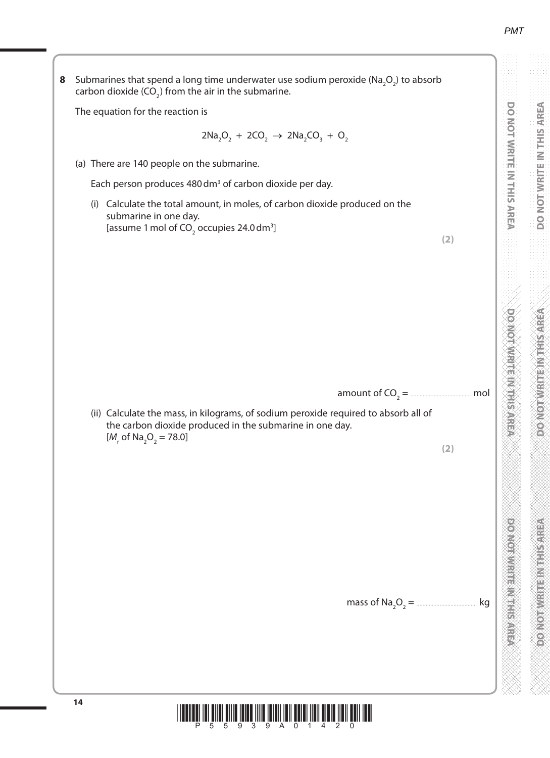**DO NOT WRITE IN THIS AREA DO NOT WRITE IN THE INTERNATION DOMOVING IN SHEARED DO NOT WRITE IN THE INTERNATIONAL CONTRACTOR** 

> DOWOTH HARRY SARRY **DO NOT WRITE IN THIS AREA**

**8** Submarines that spend a long time underwater use sodium peroxide (Na<sub>2</sub>O<sub>2</sub>) to absorb carbon dioxide  $(CO<sub>2</sub>)$  from the air in the submarine.

The equation for the reaction is

 $2Na_2O_2 + 2CO_2 \rightarrow 2Na_2CO_3 + O_2$ 

(a) There are 140 people on the submarine.

Each person produces 480 dm<sup>3</sup> of carbon dioxide per day.

 (i) Calculate the total amount, in moles, of carbon dioxide produced on the submarine in one day. [assume 1 mol of CO<sub>2</sub> occupies 24.0 dm<sup>3</sup>]

**(2)**

amount of CO2 = ....................................... mol

 (ii) Calculate the mass, in kilograms, of sodium peroxide required to absorb all of the carbon dioxide produced in the submarine in one day. [ $M_r$  of Na<sub>2</sub>O<sub>2</sub> = 78.0]

**(2)**

mass of Na2 O2 = ....................................... kg

![](_page_13_Picture_14.jpeg)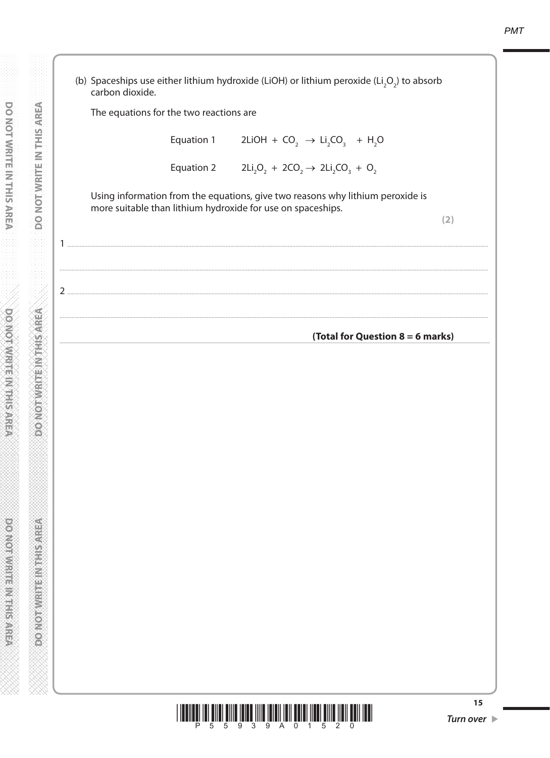(b) Spaceships use either lithium hydroxide (LiOH) or lithium peroxide (Li<sub>2</sub>O<sub>2</sub>) to absorb carbon dioxide. The equations for the two reactions are  $2LiOH + CO<sub>2</sub> \rightarrow Li<sub>2</sub>CO<sub>3</sub> + H<sub>2</sub>O$ Equation 1  $2Li_2O_2 + 2CO_2 \rightarrow 2Li_2CO_3 + O_2$ Equation 2 Using information from the equations, give two reasons why lithium peroxide is more suitable than lithium hydroxide for use on spaceships.  $(2)$ (Total for Question  $8 = 6$  marks)  $15$ 

5 5 9 3 9 A 0 1 5 2

**DO NOT WRITE IN THIS AREA** 

**DONOT WRITE NOTHS AREA** 

**PORTOR METHODS CONSIST**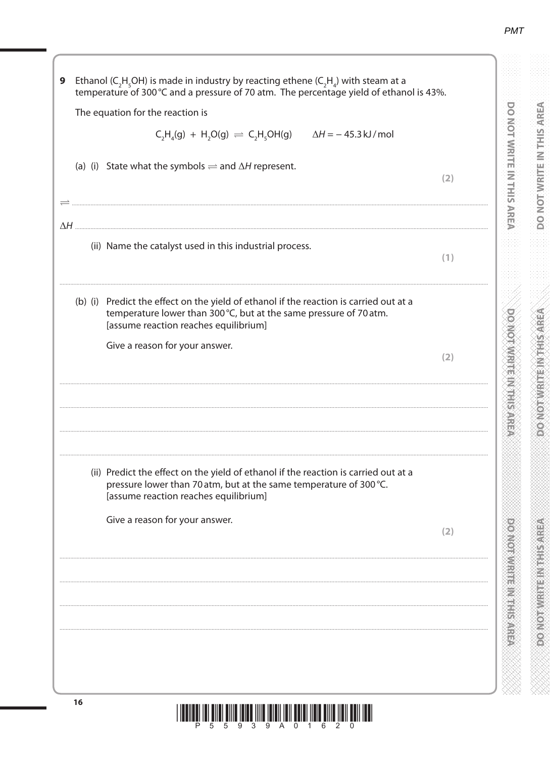| 9 | Ethanol (C <sub>2</sub> H <sub>5</sub> OH) is made in industry by reacting ethene (C <sub>2</sub> H <sub>4</sub> ) with steam at a<br>temperature of 300 °C and a pressure of 70 atm. The percentage yield of ethanol is 43%. |  |                                                                                                                                                                                                                                        |     |  |  |  |
|---|-------------------------------------------------------------------------------------------------------------------------------------------------------------------------------------------------------------------------------|--|----------------------------------------------------------------------------------------------------------------------------------------------------------------------------------------------------------------------------------------|-----|--|--|--|
|   |                                                                                                                                                                                                                               |  | The equation for the reaction is                                                                                                                                                                                                       |     |  |  |  |
|   |                                                                                                                                                                                                                               |  | $C_2H_4(g) + H_2O(g) \rightleftharpoons C_2H_5OH(g)$ $\Delta H = -45.3 \text{ kJ/mol}$                                                                                                                                                 |     |  |  |  |
|   |                                                                                                                                                                                                                               |  | (a) (i) State what the symbols $\rightleftharpoons$ and $\Delta H$ represent.                                                                                                                                                          | (2) |  |  |  |
|   |                                                                                                                                                                                                                               |  | (ii) Name the catalyst used in this industrial process.                                                                                                                                                                                | (1) |  |  |  |
|   |                                                                                                                                                                                                                               |  | (b) (i) Predict the effect on the yield of ethanol if the reaction is carried out at a<br>temperature lower than 300°C, but at the same pressure of 70 atm.<br>[assume reaction reaches equilibrium]<br>Give a reason for your answer. | (2) |  |  |  |
|   |                                                                                                                                                                                                                               |  | (ii) Predict the effect on the yield of ethanol if the reaction is carried out at a<br>pressure lower than 70 atm, but at the same temperature of 300 °C.<br>[assume reaction reaches equilibrium]<br>Give a reason for your answer.   | (2) |  |  |  |
|   |                                                                                                                                                                                                                               |  |                                                                                                                                                                                                                                        |     |  |  |  |

DO NOT WRITE IN THIS AREA

**DOMOTIVATE IN THIS AREA** 

**DOMORATION IN THE REFER** 

XXXX

1000 pm

![](_page_15_Picture_1.jpeg)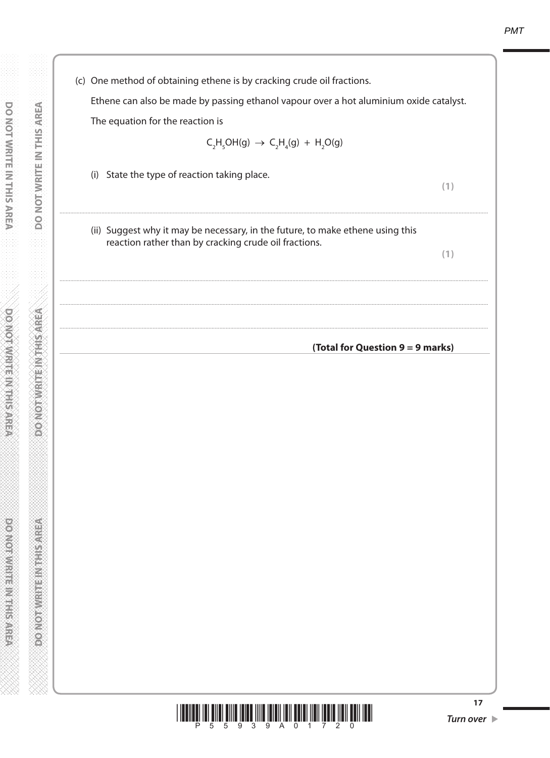(c) One method of obtaining ethene is by cracking crude oil fractions. Ethene can also be made by passing ethanol vapour over a hot aluminium oxide catalyst. The equation for the reaction is  $C_2H_2OH(g) \rightarrow C_2H_4(g) + H_2O(g)$ (i) State the type of reaction taking place.  $(1)$ (ii) Suggest why it may be necessary, in the future, to make ethene using this reaction rather than by cracking crude oil fractions.  $(1)$ (Total for Question 9 = 9 marks)  $17$ Turn over  $\blacktriangleright$ 5 5 9 3 9 A 0 1 7 2 0

**DO NOT WRITE IN THIS AREA** 

**DONOT WRITEIN THIS AREA** 

**PONOT WRITERWARD**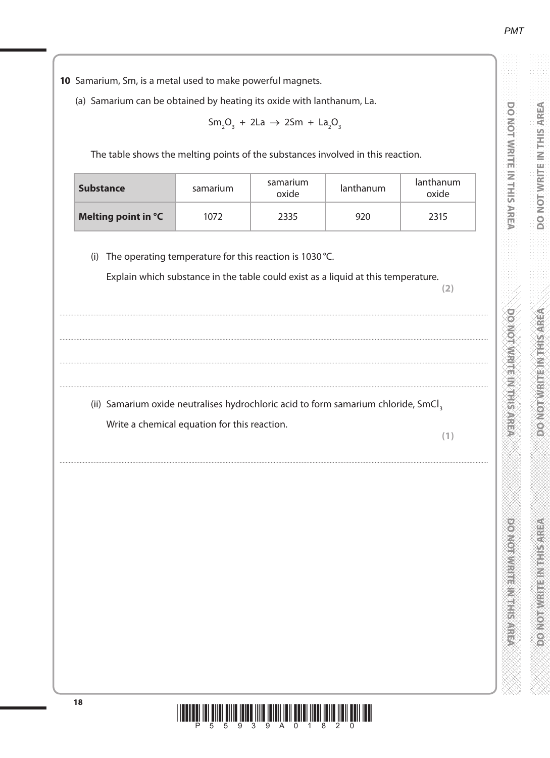**DO NOT WRITE IN THE INTERNATION** 

DO NOT WRITE IN THIS AREA

**DO NOT WRITE IN THE INTERNATIONAL CONTRACTOR** 

**DOMOTAWRITE IN THIS AREA** 

**10** Samarium, Sm, is a metal used to make powerful magnets.

(a) Samarium can be obtained by heating its oxide with lanthanum, La.

 $Sm_2O_3 + 2La \rightarrow 2Sm + La_2O_3$ 

The table shows the melting points of the substances involved in this reaction.

| <b>Substance</b>    | samarium | samarium<br>oxide | lanthanum | lanthanum<br>oxide |
|---------------------|----------|-------------------|-----------|--------------------|
| Melting point in °C | 1072     | 2335              | 920       | 2315               |

(i) The operating temperature for this reaction is 1030°C.

Explain which substance in the table could exist as a liquid at this temperature.

....................................................................................................................................................................................................................................................................................

....................................................................................................................................................................................................................................................................................

....................................................................................................................................................................................................................................................................................

....................................................................................................................................................................................................................................................................................

....................................................................................................................................................................................................................................................................................

**(2)**

- (ii) Samarium oxide neutralises hydrochloric acid to form samarium chloride, SmCl<sub>3</sub> Write a chemical equation for this reaction.
	- **(1)**

![](_page_17_Picture_12.jpeg)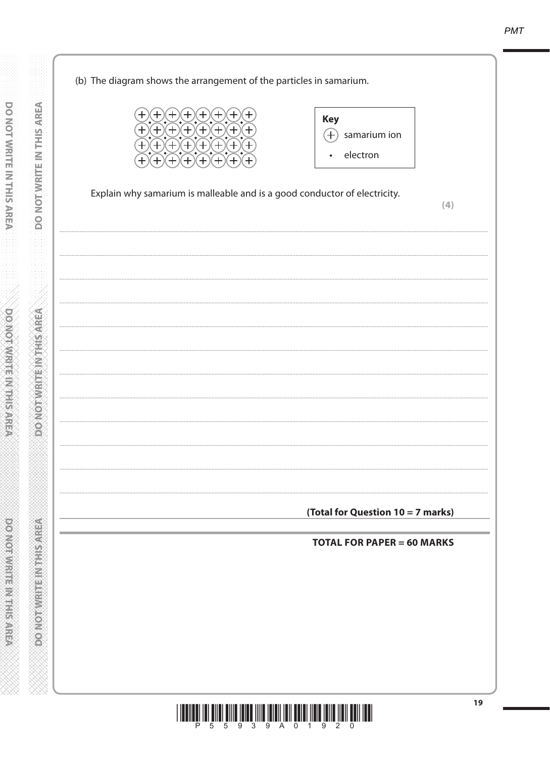| DO NOT WRITE IN THIS AREA<br><b>Key</b><br>samarium ion<br>$\boldsymbol{+}$<br>electron |  |
|-----------------------------------------------------------------------------------------|--|
|                                                                                         |  |
| Explain why samarium is malleable and is a good conductor of electricity.<br>(4)        |  |
|                                                                                         |  |
| <b>DO NOT WRITE IN THIS AREA</b>                                                        |  |
|                                                                                         |  |
|                                                                                         |  |
| (Total for Question 10 = 7 marks)                                                       |  |
| <b>TOTAL FOR PAPER = 60 MARKS</b>                                                       |  |
| <b>PONOTWERTEINTHISAREA</b>                                                             |  |
|                                                                                         |  |